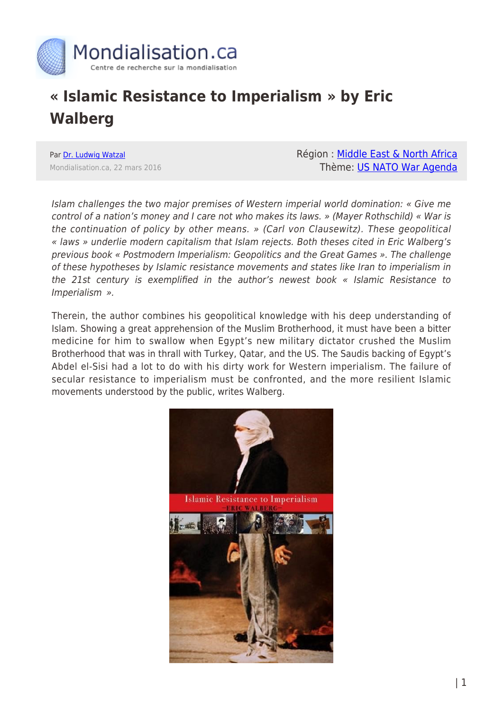

## **« Islamic Resistance to Imperialism » by Eric Walberg**

Par [Dr. Ludwig Watzal](https://www.mondialisation.ca/author/dr-ludwig-watzal) Mondialisation.ca, 22 mars 2016 Région : [Middle East & North Africa](https://www.mondialisation.ca/region/middle-east) Thème: [US NATO War Agenda](https://www.mondialisation.ca/theme/us-nato-war-agenda)

Islam challenges the two major premises of Western imperial world domination: « Give me control of a nation's money and I care not who makes its laws. » (Mayer Rothschild) « War is the continuation of policy by other means. » (Carl von Clausewitz). These geopolitical « laws » underlie modern capitalism that Islam rejects. Both theses cited in Eric Walberg's previous book « Postmodern Imperialism: Geopolitics and the Great Games ». The challenge of these hypotheses by Islamic resistance movements and states like Iran to imperialism in the 21st century is exemplified in the author's newest book « Islamic Resistance to Imperialism ».

Therein, the author combines his geopolitical knowledge with his deep understanding of Islam. Showing a great apprehension of the Muslim Brotherhood, it must have been a bitter medicine for him to swallow when Egypt's new military dictator crushed the Muslim Brotherhood that was in thrall with Turkey, Qatar, and the US. The Saudis backing of Egypt's Abdel el-Sisi had a lot to do with his dirty work for Western imperialism. The failure of secular resistance to imperialism must be confronted, and the more resilient Islamic movements understood by the public, writes Walberg.

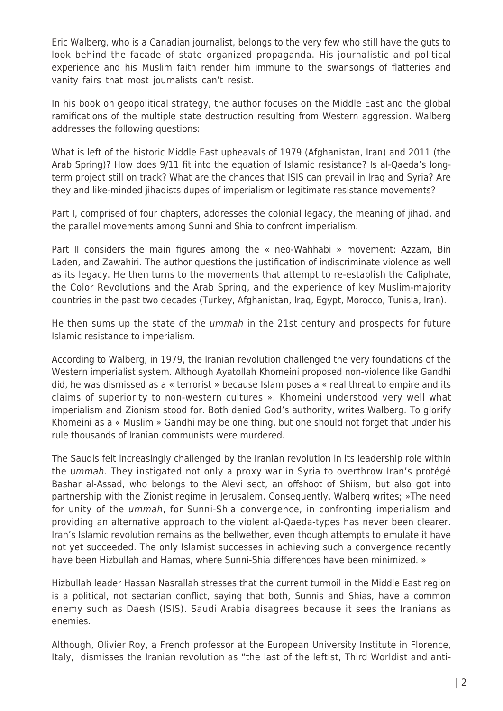Eric Walberg, who is a Canadian journalist, belongs to the very few who still have the guts to look behind the facade of state organized propaganda. His journalistic and political experience and his Muslim faith render him immune to the swansongs of flatteries and vanity fairs that most journalists can't resist.

In his book on geopolitical strategy, the author focuses on the Middle East and the global ramifications of the multiple state destruction resulting from Western aggression. Walberg addresses the following questions:

What is left of the historic Middle East upheavals of 1979 (Afghanistan, Iran) and 2011 (the Arab Spring)? How does 9/11 fit into the equation of Islamic resistance? Is al-Qaeda's longterm project still on track? What are the chances that ISIS can prevail in Iraq and Syria? Are they and like-minded jihadists dupes of imperialism or legitimate resistance movements?

Part I, comprised of four chapters, addresses the colonial legacy, the meaning of jihad, and the parallel movements among Sunni and Shia to confront imperialism.

Part II considers the main figures among the « neo-Wahhabi » movement: Azzam, Bin Laden, and Zawahiri. The author questions the justification of indiscriminate violence as well as its legacy. He then turns to the movements that attempt to re-establish the Caliphate, the Color Revolutions and the Arab Spring, and the experience of key Muslim-majority countries in the past two decades (Turkey, Afghanistan, Iraq, Egypt, Morocco, Tunisia, Iran).

He then sums up the state of the *ummah* in the 21st century and prospects for future Islamic resistance to imperialism.

According to Walberg, in 1979, the Iranian revolution challenged the very foundations of the Western imperialist system. Although Ayatollah Khomeini proposed non-violence like Gandhi did, he was dismissed as a « terrorist » because Islam poses a « real threat to empire and its claims of superiority to non-western cultures ». Khomeini understood very well what imperialism and Zionism stood for. Both denied God's authority, writes Walberg. To glorify Khomeini as a « Muslim » Gandhi may be one thing, but one should not forget that under his rule thousands of Iranian communists were murdered.

The Saudis felt increasingly challenged by the Iranian revolution in its leadership role within the ummah. They instigated not only a proxy war in Syria to overthrow Iran's protégé Bashar al-Assad, who belongs to the Alevi sect, an offshoot of Shiism, but also got into partnership with the Zionist regime in Jerusalem. Consequently, Walberg writes; »The need for unity of the ummah, for Sunni-Shia convergence, in confronting imperialism and providing an alternative approach to the violent al-Qaeda-types has never been clearer. Iran's Islamic revolution remains as the bellwether, even though attempts to emulate it have not yet succeeded. The only Islamist successes in achieving such a convergence recently have been Hizbullah and Hamas, where Sunni-Shia differences have been minimized. »

Hizbullah leader Hassan Nasrallah stresses that the current turmoil in the Middle East region is a political, not sectarian conflict, saying that both, Sunnis and Shias, have a common enemy such as Daesh (ISIS). Saudi Arabia disagrees because it sees the Iranians as enemies.

Although, Olivier Roy, a French professor at the European University Institute in Florence, Italy, dismisses the Iranian revolution as "the last of the leftist, Third Worldist and anti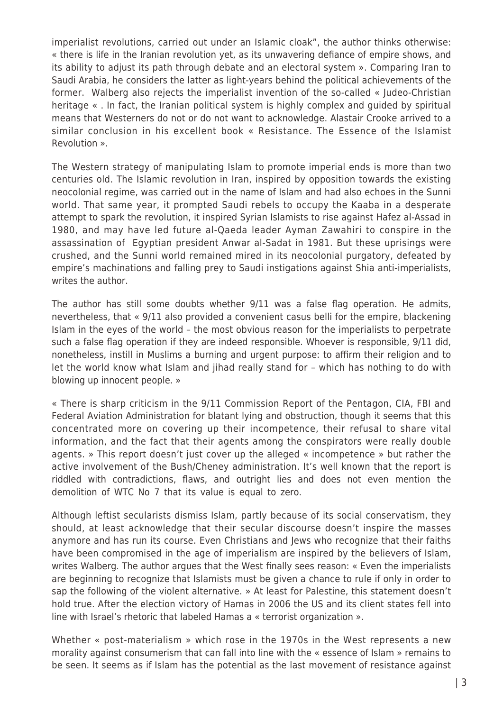imperialist revolutions, carried out under an Islamic cloak", the author thinks otherwise: « there is life in the Iranian revolution yet, as its unwavering defiance of empire shows, and its ability to adjust its path through debate and an electoral system ». Comparing Iran to Saudi Arabia, he considers the latter as light-years behind the political achievements of the former. Walberg also rejects the imperialist invention of the so-called « Judeo-Christian heritage « . In fact, the Iranian political system is highly complex and guided by spiritual means that Westerners do not or do not want to acknowledge. Alastair Crooke arrived to a similar conclusion in his excellent book « Resistance. The Essence of the Islamist Revolution ».

The Western strategy of manipulating Islam to promote imperial ends is more than two centuries old. The Islamic revolution in Iran, inspired by opposition towards the existing neocolonial regime, was carried out in the name of Islam and had also echoes in the Sunni world. That same year, it prompted Saudi rebels to occupy the Kaaba in a desperate attempt to spark the revolution, it inspired Syrian Islamists to rise against Hafez al-Assad in 1980, and may have led future al-Qaeda leader Ayman Zawahiri to conspire in the assassination of Egyptian president Anwar al-Sadat in 1981. But these uprisings were crushed, and the Sunni world remained mired in its neocolonial purgatory, defeated by empire's machinations and falling prey to Saudi instigations against Shia anti-imperialists, writes the author.

The author has still some doubts whether 9/11 was a false flag operation. He admits, nevertheless, that « 9/11 also provided a convenient casus belli for the empire, blackening Islam in the eyes of the world – the most obvious reason for the imperialists to perpetrate such a false flag operation if they are indeed responsible. Whoever is responsible, 9/11 did, nonetheless, instill in Muslims a burning and urgent purpose: to affirm their religion and to let the world know what Islam and jihad really stand for – which has nothing to do with blowing up innocent people. »

« There is sharp criticism in the 9/11 Commission Report of the Pentagon, CIA, FBI and Federal Aviation Administration for blatant lying and obstruction, though it seems that this concentrated more on covering up their incompetence, their refusal to share vital information, and the fact that their agents among the conspirators were really double agents. » This report doesn't just cover up the alleged « incompetence » but rather the active involvement of the Bush/Cheney administration. It's well known that the report is riddled with contradictions, flaws, and outright lies and does not even mention the demolition of WTC No 7 that its value is equal to zero.

Although leftist secularists dismiss Islam, partly because of its social conservatism, they should, at least acknowledge that their secular discourse doesn't inspire the masses anymore and has run its course. Even Christians and Jews who recognize that their faiths have been compromised in the age of imperialism are inspired by the believers of Islam, writes Walberg. The author argues that the West finally sees reason: « Even the imperialists are beginning to recognize that Islamists must be given a chance to rule if only in order to sap the following of the violent alternative. » At least for Palestine, this statement doesn't hold true. After the election victory of Hamas in 2006 the US and its client states fell into line with Israel's rhetoric that labeled Hamas a « terrorist organization ».

Whether « post-materialism » which rose in the 1970s in the West represents a new morality against consumerism that can fall into line with the « essence of Islam » remains to be seen. It seems as if Islam has the potential as the last movement of resistance against